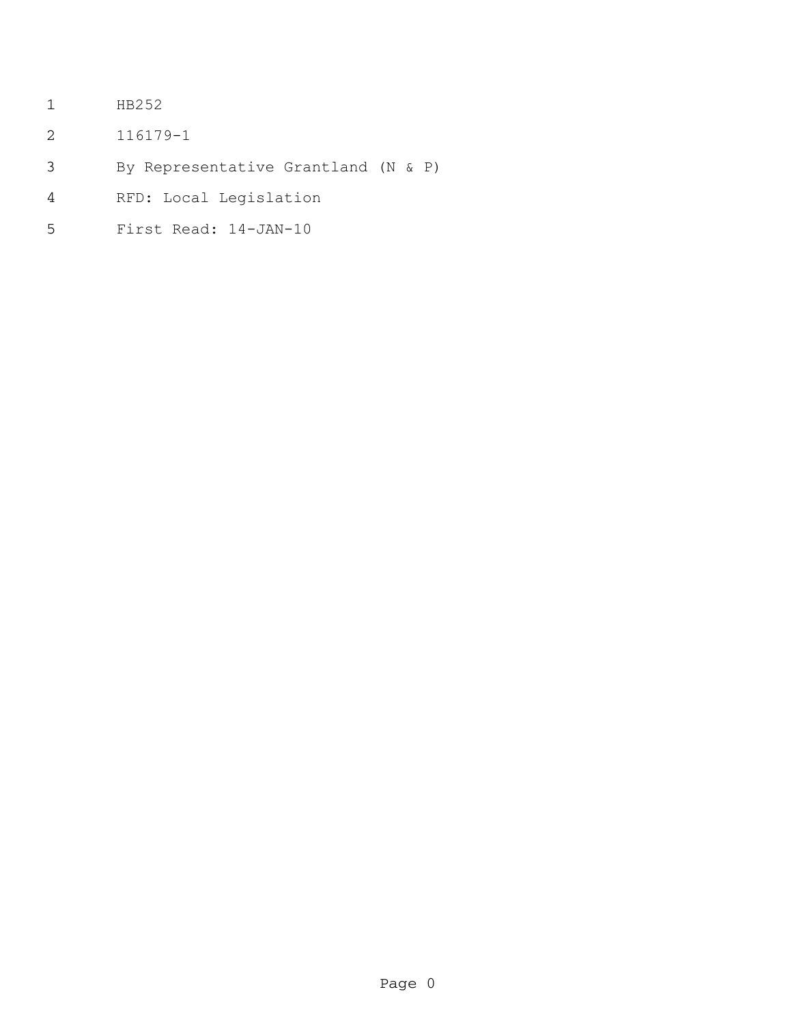- HB252
- 116179-1
- By Representative Grantland (N & P)
- RFD: Local Legislation
- First Read: 14-JAN-10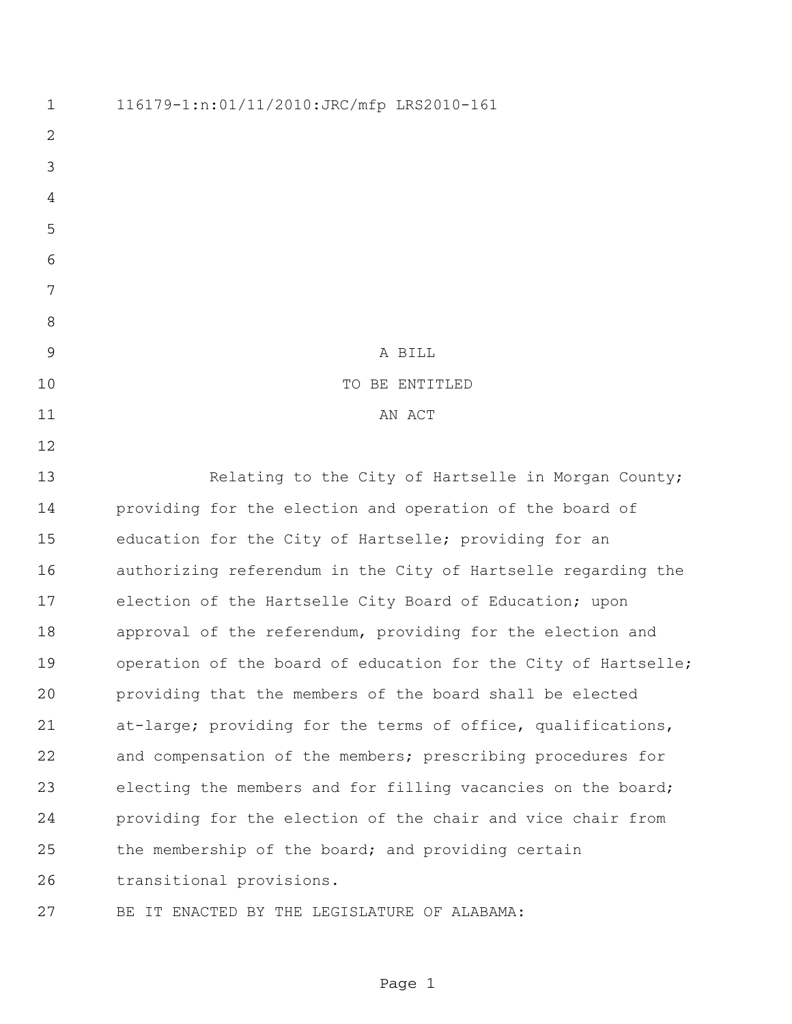116179-1:n:01/11/2010:JRC/mfp LRS2010-161 A BILL 10 TO BE ENTITLED 11 AN ACT 13 Relating to the City of Hartselle in Morgan County; providing for the election and operation of the board of education for the City of Hartselle; providing for an authorizing referendum in the City of Hartselle regarding the election of the Hartselle City Board of Education; upon approval of the referendum, providing for the election and 19 operation of the board of education for the City of Hartselle; providing that the members of the board shall be elected at-large; providing for the terms of office, qualifications, and compensation of the members; prescribing procedures for electing the members and for filling vacancies on the board; providing for the election of the chair and vice chair from the membership of the board; and providing certain transitional provisions. BE IT ENACTED BY THE LEGISLATURE OF ALABAMA: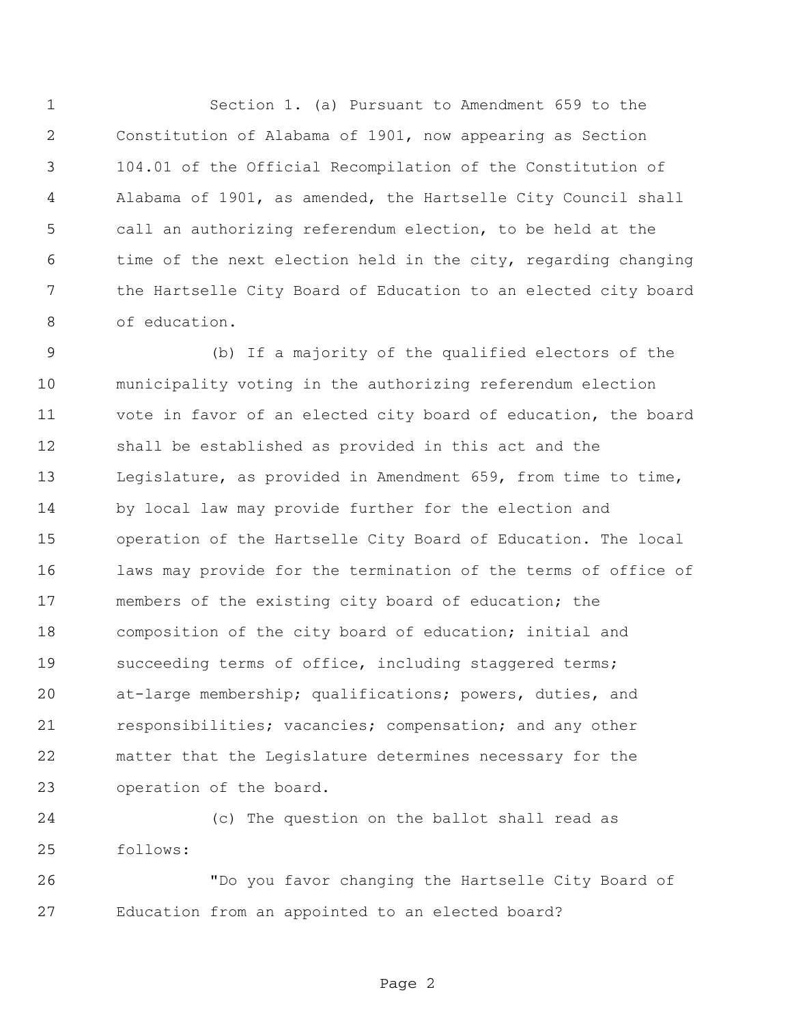Section 1. (a) Pursuant to Amendment 659 to the Constitution of Alabama of 1901, now appearing as Section 104.01 of the Official Recompilation of the Constitution of Alabama of 1901, as amended, the Hartselle City Council shall call an authorizing referendum election, to be held at the time of the next election held in the city, regarding changing the Hartselle City Board of Education to an elected city board of education.

 (b) If a majority of the qualified electors of the municipality voting in the authorizing referendum election vote in favor of an elected city board of education, the board shall be established as provided in this act and the Legislature, as provided in Amendment 659, from time to time, by local law may provide further for the election and operation of the Hartselle City Board of Education. The local laws may provide for the termination of the terms of office of members of the existing city board of education; the composition of the city board of education; initial and 19 succeeding terms of office, including staggered terms; at-large membership; qualifications; powers, duties, and responsibilities; vacancies; compensation; and any other matter that the Legislature determines necessary for the operation of the board.

 (c) The question on the ballot shall read as follows:

 "Do you favor changing the Hartselle City Board of Education from an appointed to an elected board?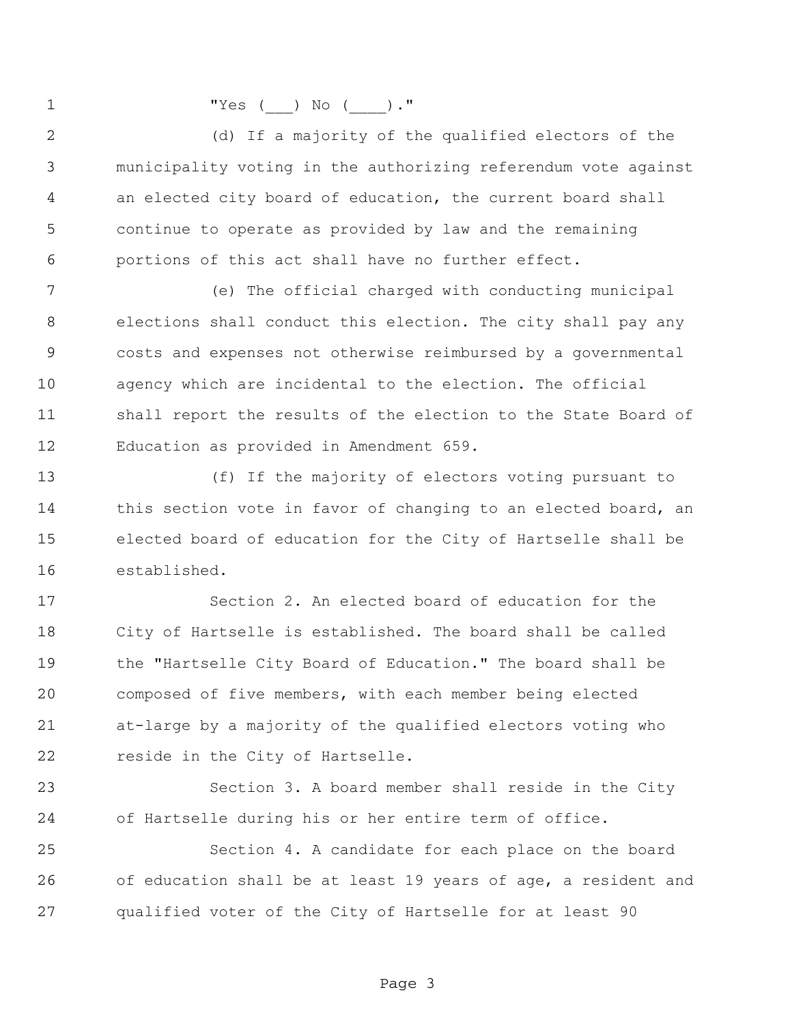"Yes (\_\_\_) No (\_\_\_\_)."

 (d) If a majority of the qualified electors of the municipality voting in the authorizing referendum vote against an elected city board of education, the current board shall continue to operate as provided by law and the remaining portions of this act shall have no further effect.

 (e) The official charged with conducting municipal elections shall conduct this election. The city shall pay any costs and expenses not otherwise reimbursed by a governmental agency which are incidental to the election. The official shall report the results of the election to the State Board of Education as provided in Amendment 659.

 (f) If the majority of electors voting pursuant to 14 this section vote in favor of changing to an elected board, an elected board of education for the City of Hartselle shall be established.

 Section 2. An elected board of education for the City of Hartselle is established. The board shall be called the "Hartselle City Board of Education." The board shall be composed of five members, with each member being elected at-large by a majority of the qualified electors voting who reside in the City of Hartselle.

 Section 3. A board member shall reside in the City of Hartselle during his or her entire term of office.

 Section 4. A candidate for each place on the board of education shall be at least 19 years of age, a resident and qualified voter of the City of Hartselle for at least 90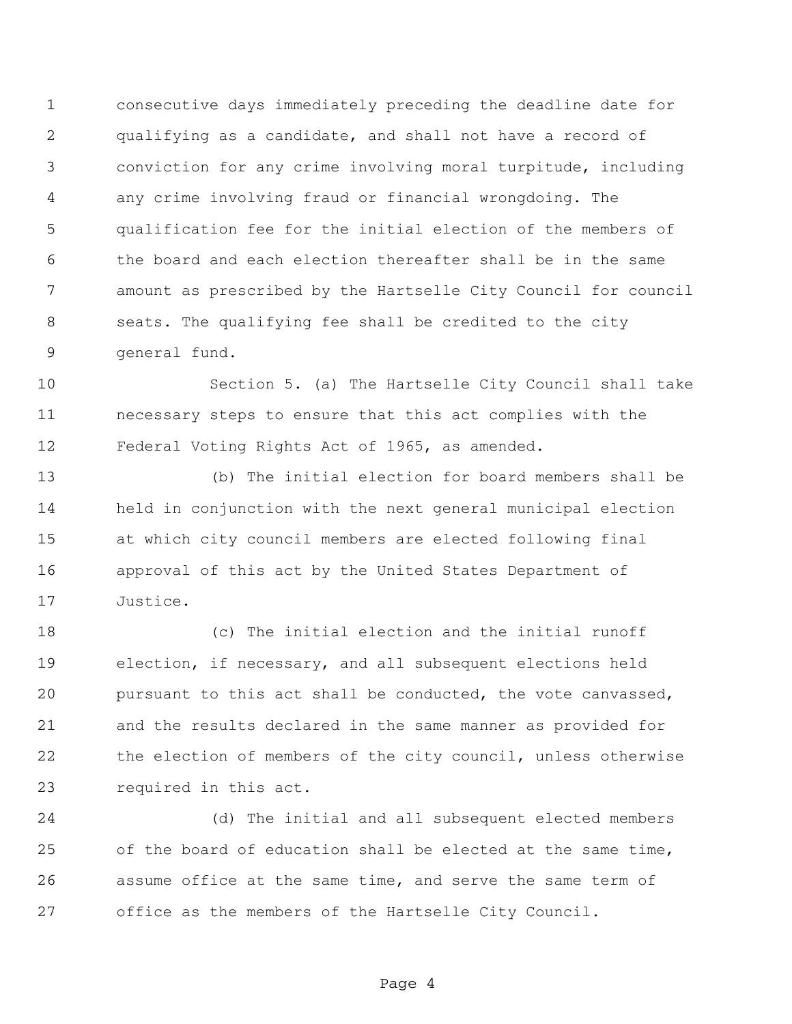consecutive days immediately preceding the deadline date for qualifying as a candidate, and shall not have a record of conviction for any crime involving moral turpitude, including any crime involving fraud or financial wrongdoing. The qualification fee for the initial election of the members of the board and each election thereafter shall be in the same amount as prescribed by the Hartselle City Council for council seats. The qualifying fee shall be credited to the city general fund.

 Section 5. (a) The Hartselle City Council shall take necessary steps to ensure that this act complies with the Federal Voting Rights Act of 1965, as amended.

 (b) The initial election for board members shall be held in conjunction with the next general municipal election at which city council members are elected following final approval of this act by the United States Department of Justice.

 (c) The initial election and the initial runoff election, if necessary, and all subsequent elections held pursuant to this act shall be conducted, the vote canvassed, and the results declared in the same manner as provided for the election of members of the city council, unless otherwise required in this act.

 (d) The initial and all subsequent elected members of the board of education shall be elected at the same time, assume office at the same time, and serve the same term of office as the members of the Hartselle City Council.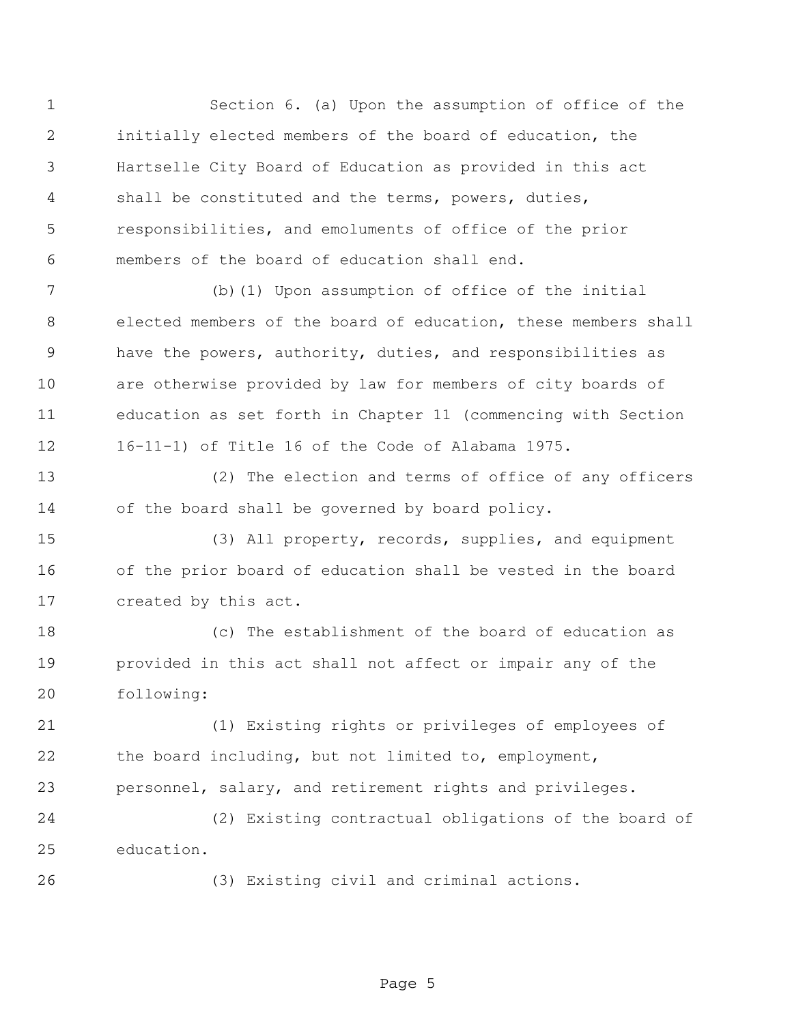Section 6. (a) Upon the assumption of office of the initially elected members of the board of education, the Hartselle City Board of Education as provided in this act shall be constituted and the terms, powers, duties, responsibilities, and emoluments of office of the prior members of the board of education shall end.

 (b)(1) Upon assumption of office of the initial elected members of the board of education, these members shall have the powers, authority, duties, and responsibilities as are otherwise provided by law for members of city boards of education as set forth in Chapter 11 (commencing with Section 16-11-1) of Title 16 of the Code of Alabama 1975.

 (2) The election and terms of office of any officers of the board shall be governed by board policy.

 (3) All property, records, supplies, and equipment of the prior board of education shall be vested in the board created by this act.

 (c) The establishment of the board of education as provided in this act shall not affect or impair any of the following:

 (1) Existing rights or privileges of employees of the board including, but not limited to, employment, personnel, salary, and retirement rights and privileges.

 (2) Existing contractual obligations of the board of education.

(3) Existing civil and criminal actions.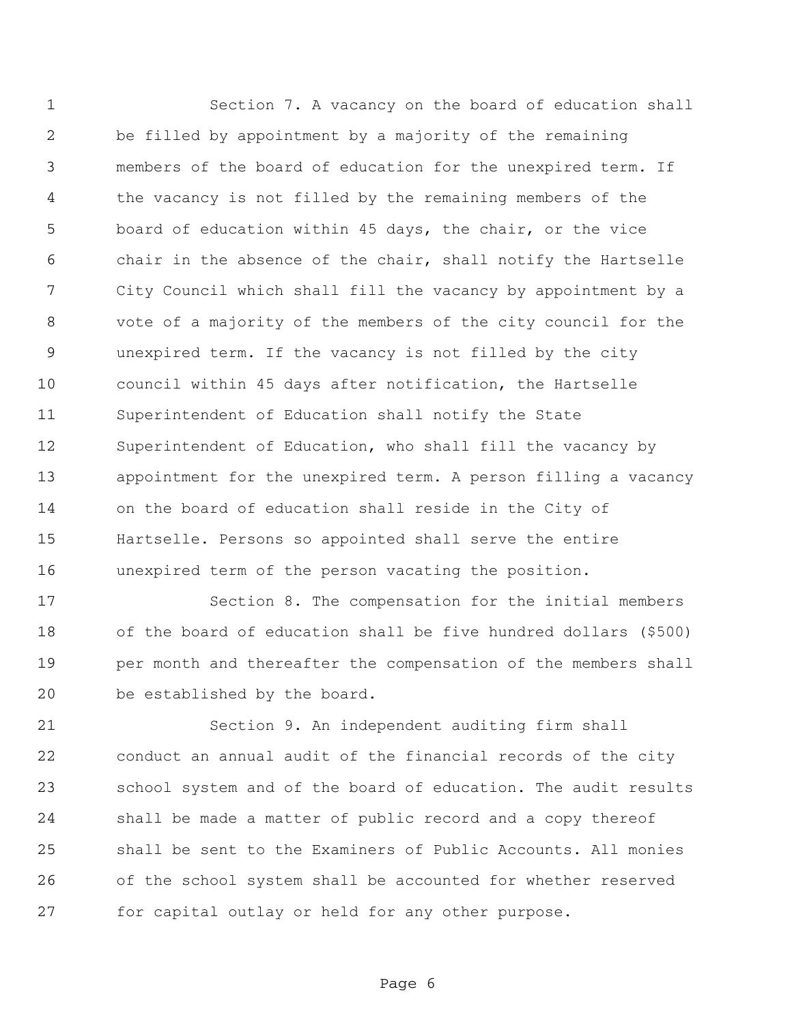Section 7. A vacancy on the board of education shall be filled by appointment by a majority of the remaining members of the board of education for the unexpired term. If the vacancy is not filled by the remaining members of the board of education within 45 days, the chair, or the vice chair in the absence of the chair, shall notify the Hartselle City Council which shall fill the vacancy by appointment by a vote of a majority of the members of the city council for the unexpired term. If the vacancy is not filled by the city council within 45 days after notification, the Hartselle Superintendent of Education shall notify the State Superintendent of Education, who shall fill the vacancy by appointment for the unexpired term. A person filling a vacancy on the board of education shall reside in the City of Hartselle. Persons so appointed shall serve the entire unexpired term of the person vacating the position.

 Section 8. The compensation for the initial members of the board of education shall be five hundred dollars (\$500) per month and thereafter the compensation of the members shall be established by the board.

 Section 9. An independent auditing firm shall conduct an annual audit of the financial records of the city school system and of the board of education. The audit results shall be made a matter of public record and a copy thereof shall be sent to the Examiners of Public Accounts. All monies of the school system shall be accounted for whether reserved for capital outlay or held for any other purpose.